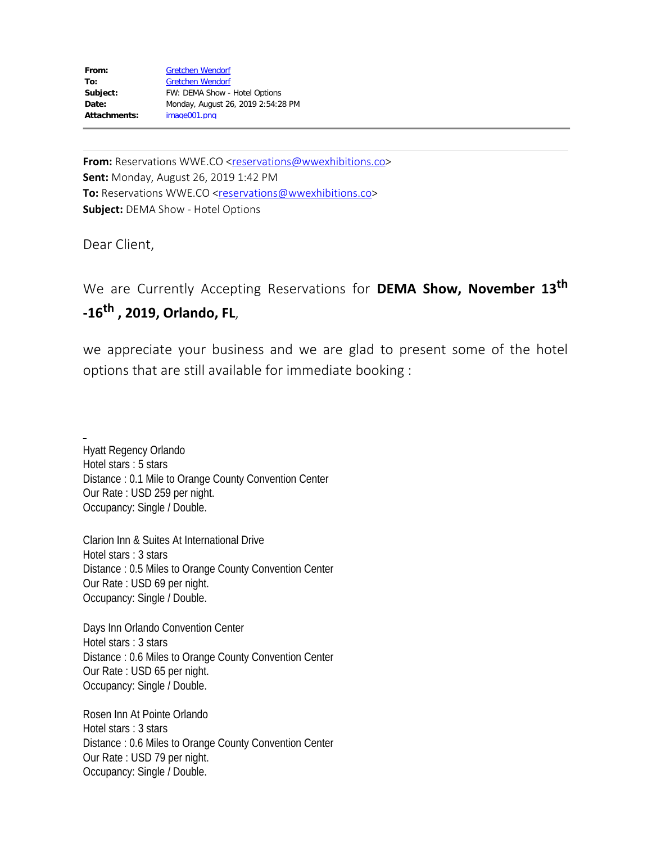| From:               | <b>Gretchen Wendorf</b>            |
|---------------------|------------------------------------|
| To:                 | <b>Gretchen Wendorf</b>            |
| Subject:            | FW: DEMA Show - Hotel Options      |
| Date:               | Monday, August 26, 2019 2:54:28 PM |
| <b>Attachments:</b> | image001.png                       |
|                     |                                    |

**From:** Reservations WWE.CO <[reservations@wwexhibitions.co](mailto:reservations@wwexhibitions.co)> **Sent:** Monday, August 26, 2019 1:42 PM **To:** Reservations WWE.CO [<reservations@wwexhibitions.co](mailto:reservations@wwexhibitions.co)> **Subject:** DEMA Show - Hotel Options

Dear Client,

We are Currently Accepting Reservations for **DEMA Show, November 13th -16th , 2019, Orlando, FL**,

we appreciate your business and we are glad to present some of the hotel options that are still available for immediate booking :

Hyatt Regency Orlando Hotel stars : 5 stars Distance : 0.1 Mile to Orange County Convention Center Our Rate : USD 259 per night. Occupancy: Single / Double.

Clarion Inn & Suites At International Drive Hotel stars : 3 stars Distance : 0.5 Miles to Orange County Convention Center Our Rate : USD 69 per night. Occupancy: Single / Double.

Days Inn Orlando Convention Center Hotel stars : 3 stars Distance : 0.6 Miles to Orange County Convention Center Our Rate : USD 65 per night. Occupancy: Single / Double.

Rosen Inn At Pointe Orlando Hotel stars : 3 stars Distance : 0.6 Miles to Orange County Convention Center Our Rate : USD 79 per night. Occupancy: Single / Double.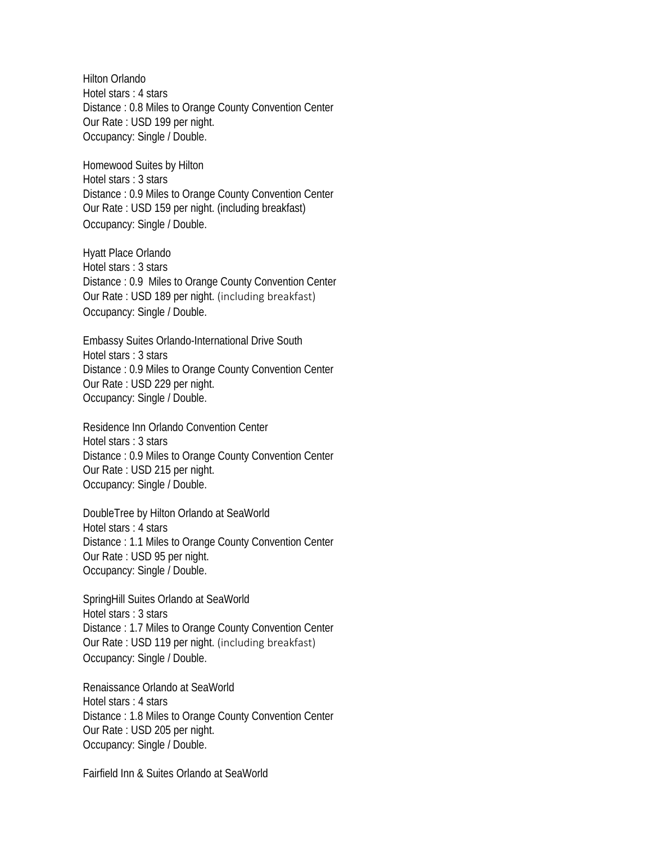Hilton Orlando Hotel stars : 4 stars Distance : 0.8 Miles to Orange County Convention Center Our Rate : USD 199 per night. Occupancy: Single / Double.

Homewood Suites by Hilton Hotel stars : 3 stars Distance : 0.9 Miles to Orange County Convention Center Our Rate : USD 159 per night. (including breakfast) Occupancy: Single / Double.

Hyatt Place Orlando Hotel stars : 3 stars Distance : 0.9 Miles to Orange County Convention Center Our Rate : USD 189 per night. (including breakfast) Occupancy: Single / Double.

Embassy Suites Orlando-International Drive South Hotel stars : 3 stars Distance : 0.9 Miles to Orange County Convention Center Our Rate : USD 229 per night. Occupancy: Single / Double.

Residence Inn Orlando Convention Center Hotel stars : 3 stars Distance : 0.9 Miles to Orange County Convention Center Our Rate : USD 215 per night. Occupancy: Single / Double.

DoubleTree by Hilton Orlando at SeaWorld Hotel stars : 4 stars Distance : 1.1 Miles to Orange County Convention Center Our Rate : USD 95 per night. Occupancy: Single / Double.

SpringHill Suites Orlando at SeaWorld Hotel stars : 3 stars Distance : 1.7 Miles to Orange County Convention Center Our Rate : USD 119 per night. (including breakfast) Occupancy: Single / Double.

Renaissance Orlando at SeaWorld Hotel stars : 4 stars Distance : 1.8 Miles to Orange County Convention Center Our Rate : USD 205 per night. Occupancy: Single / Double.

Fairfield Inn & Suites Orlando at SeaWorld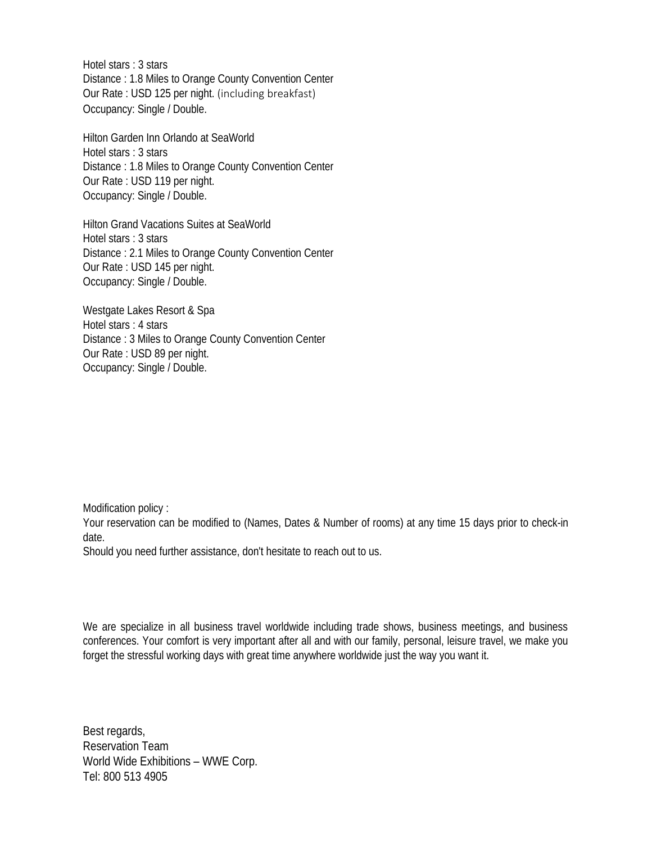Hotel stars : 3 stars Distance : 1.8 Miles to Orange County Convention Center Our Rate : USD 125 per night. (including breakfast) Occupancy: Single / Double.

Hilton Garden Inn Orlando at SeaWorld Hotel stars : 3 stars Distance : 1.8 Miles to Orange County Convention Center Our Rate : USD 119 per night. Occupancy: Single / Double.

Hilton Grand Vacations Suites at SeaWorld Hotel stars : 3 stars Distance : 2.1 Miles to Orange County Convention Center Our Rate : USD 145 per night. Occupancy: Single / Double.

Westgate Lakes Resort & Spa Hotel stars : 4 stars Distance : 3 Miles to Orange County Convention Center Our Rate : USD 89 per night. Occupancy: Single / Double.

Modification policy :

Your reservation can be modified to (Names, Dates & Number of rooms) at any time 15 days prior to check-in date.

Should you need further assistance, don't hesitate to reach out to us.

We are specialize in all business travel worldwide including trade shows, business meetings, and business conferences. Your comfort is very important after all and with our family, personal, leisure travel, we make you forget the stressful working days with great time anywhere worldwide just the way you want it.

Best regards, Reservation Team World Wide Exhibitions – WWE Corp. Tel: 800 513 4905